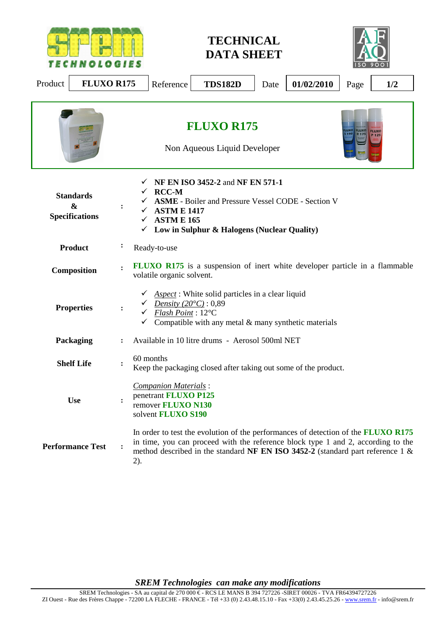

**TECHNICAL DATA SHEET** 



| Product<br><b>FLUXO R175</b>                                   | 01/02/2010<br>Reference<br><b>TDS182D</b><br>1/2<br>Date<br>Page                                                                                                                                                                                                         |
|----------------------------------------------------------------|--------------------------------------------------------------------------------------------------------------------------------------------------------------------------------------------------------------------------------------------------------------------------|
|                                                                | <b>FLUXO R175</b><br><b>FLUXO</b><br>R 175<br>Non Aqueous Liquid Developer                                                                                                                                                                                               |
| <b>Standards</b><br>$\boldsymbol{\&}$<br><b>Specifications</b> | NF EN ISO 3452-2 and NF EN 571-1<br><b>RCC-M</b><br><b>ASME</b> - Boiler and Pressure Vessel CODE - Section V<br><b>ASTM E 1417</b><br><b>ASTM E 165</b><br>✓<br>Low in Sulphur & Halogens (Nuclear Quality)<br>$\checkmark$                                             |
| <b>Product</b>                                                 | Ready-to-use                                                                                                                                                                                                                                                             |
| Composition                                                    | <b>FLUXO R175</b> is a suspension of inert white developer particle in a flammable<br>volatile organic solvent.                                                                                                                                                          |
| <b>Properties</b>                                              | Aspect: White solid particles in a clear liquid<br>Density $(20^{\circ}C):0,89$<br>$\ddot{\cdot}$<br>Flash Point: 12°C<br>$\checkmark$<br>Compatible with any metal $&$ many synthetic materials                                                                         |
| Packaging                                                      | Available in 10 litre drums - Aerosol 500ml NET                                                                                                                                                                                                                          |
| <b>Shelf Life</b>                                              | 60 months<br>$\ddot{\phantom{a}}$<br>Keep the packaging closed after taking out some of the product.                                                                                                                                                                     |
| <b>Use</b>                                                     | Companion Materials:<br>penetrant FLUXO P125<br>remover FLUXO N130<br>solvent FLUXO S190                                                                                                                                                                                 |
| <b>Performance Test</b>                                        | In order to test the evolution of the performances of detection of the <b>FLUXO R175</b><br>in time, you can proceed with the reference block type 1 and 2, according to the<br>method described in the standard NF EN ISO 3452-2 (standard part reference 1 $\&$<br>2). |

*SREM Technologies can make any modifications*